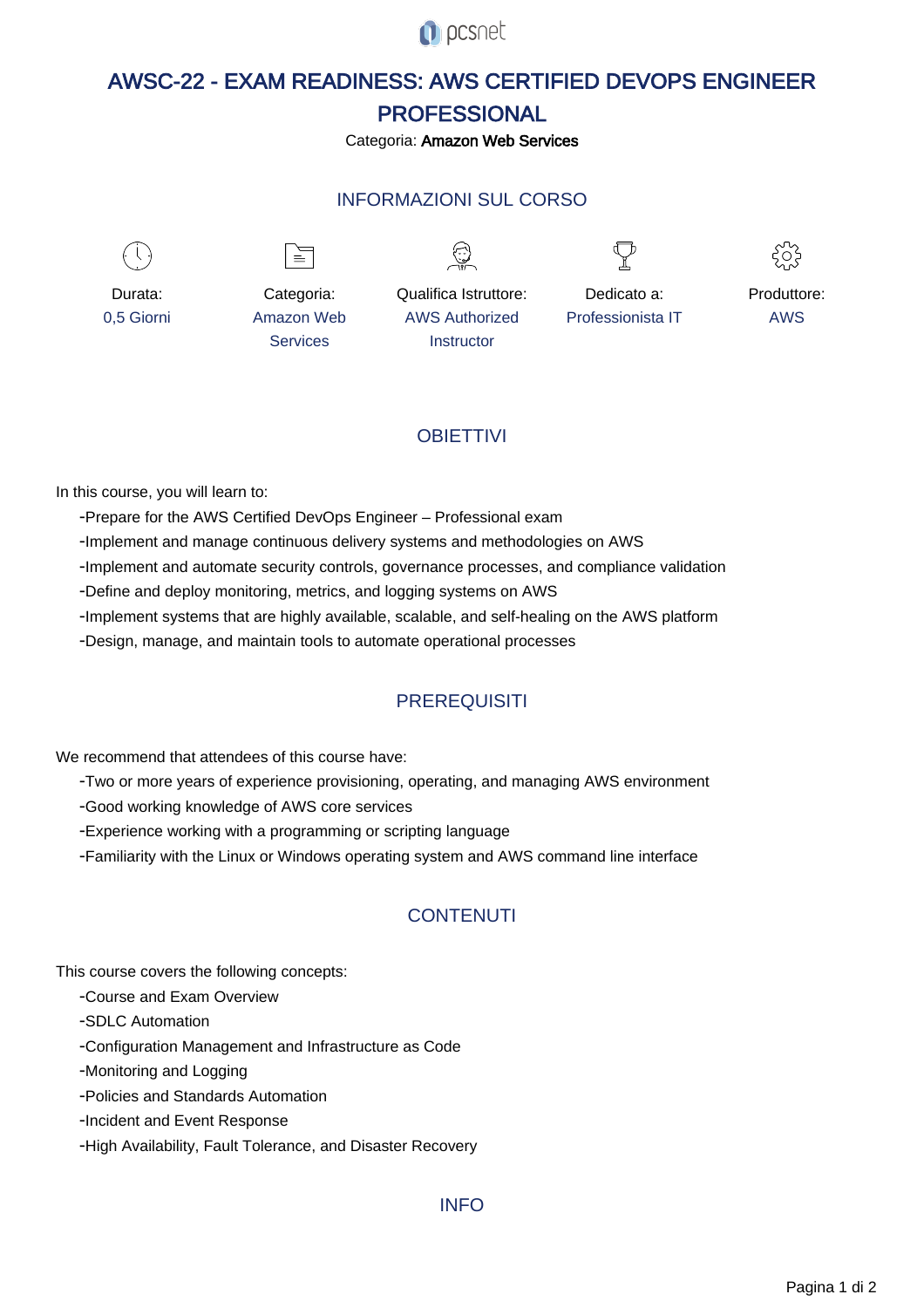**O** pcsnet

# AWSC-22 - EXAM READINESS: AWS CERTIFIED DEVOPS ENGINEER PROFESSIONAL

Categoria: Amazon Web Services

### INFORMAZIONI SUL CORSO

 $\overline{a}$ 



Durata: 0,5 Giorni

Categoria: Amazon Web **Services** 

 $\equiv$ 

Qualifica Istruttore: AWS Authorized **Instructor** 

Dedicato a: Professionista IT



Produttore: AWS

## **OBIFTTIVI**

In this course, you will learn to:

- Prepare for the AWS Certified DevOps Engineer Professional exam
- Implement and manage continuous delivery systems and methodologies on AWS
- Implement and automate security controls, governance processes, and compliance validation
- Define and deploy monitoring, metrics, and logging systems on AWS
- Implement systems that are highly available, scalable, and self-healing on the AWS platform
- Design, manage, and maintain tools to automate operational processes

## **PREREQUISITI**

We recommend that attendees of this course have:

- Two or more years of experience provisioning, operating, and managing AWS environment
- Good working knowledge of AWS core services
- Experience working with a programming or scripting language
- Familiarity with the Linux or Windows operating system and AWS command line interface

## **CONTENUTI**

This course covers the following concepts:

- Course and Exam Overview

- SDLC Automation

- Configuration Management and Infrastructure as Code

- Monitoring and Logging

- Policies and Standards Automation

- Incident and Event Response

- High Availability, Fault Tolerance, and Disaster Recovery